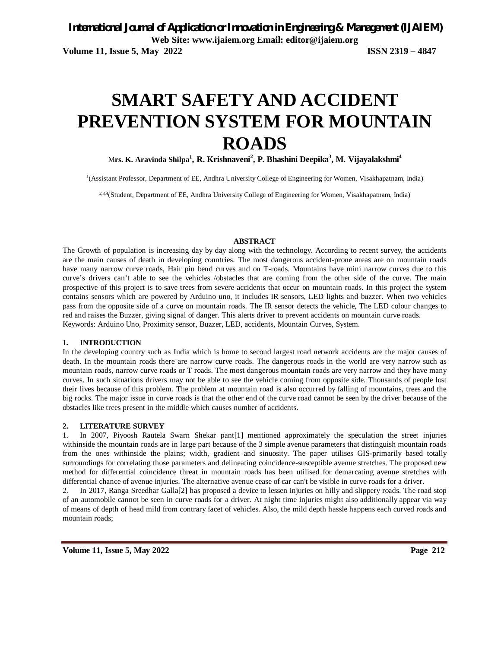# **SMART SAFETY AND ACCIDENT PREVENTION SYSTEM FOR MOUNTAIN ROADS**

M**rs. K. Aravinda Shilpa<sup>1</sup> , R. Krishnaveni<sup>2</sup> , P. Bhashini Deepika<sup>3</sup> , M. Vijayalakshmi<sup>4</sup>**

1 (Assistant Professor, Department of EE, Andhra University College of Engineering for Women, Visakhapatnam, India)

2,3,4(Student, Department of EE, Andhra University College of Engineering for Women, Visakhapatnam, India)

#### **ABSTRACT**

The Growth of population is increasing day by day along with the technology. According to recent survey, the accidents are the main causes of death in developing countries. The most dangerous accident-prone areas are on mountain roads have many narrow curve roads, Hair pin bend curves and on T-roads. Mountains have mini narrow curves due to this curve's drivers can't able to see the vehicles /obstacles that are coming from the other side of the curve. The main prospective of this project is to save trees from severe accidents that occur on mountain roads. In this project the system contains sensors which are powered by Arduino uno, it includes IR sensors, LED lights and buzzer. When two vehicles pass from the opposite side of a curve on mountain roads. The IR sensor detects the vehicle, The LED colour changes to red and raises the Buzzer, giving signal of danger. This alerts driver to prevent accidents on mountain curve roads. Keywords: Arduino Uno, Proximity sensor, Buzzer, LED, accidents, Mountain Curves, System.

#### **1. INTRODUCTION**

In the developing country such as India which is home to second largest road network accidents are the major causes of death. In the mountain roads there are narrow curve roads. The dangerous roads in the world are very narrow such as mountain roads, narrow curve roads or T roads. The most dangerous mountain roads are very narrow and they have many curves. In such situations drivers may not be able to see the vehicle coming from opposite side. Thousands of people lost their lives because of this problem. The problem at mountain road is also occurred by falling of mountains, trees and the big rocks. The major issue in curve roads is that the other end of the curve road cannot be seen by the driver because of the obstacles like trees present in the middle which causes number of accidents.

#### **2. LITERATURE SURVEY**

1. In 2007, Piyoosh Rautela Swarn Shekar pant[1] mentioned approximately the speculation the street injuries withinside the mountain roads are in large part because of the 3 simple avenue parameters that distinguish mountain roads from the ones withinside the plains; width, gradient and sinuosity. The paper utilises GIS-primarily based totally surroundings for correlating those parameters and delineating coincidence-susceptible avenue stretches. The proposed new method for differential coincidence threat in mountain roads has been utilised for demarcating avenue stretches with differential chance of avenue injuries. The alternative avenue cease of car can't be visible in curve roads for a driver.

2. In 2017, Ranga Sreedhar Galla[2] has proposed a device to lessen injuries on hilly and slippery roads. The road stop of an automobile cannot be seen in curve roads for a driver. At night time injuries might also additionally appear via way of means of depth of head mild from contrary facet of vehicles. Also, the mild depth hassle happens each curved roads and mountain roads;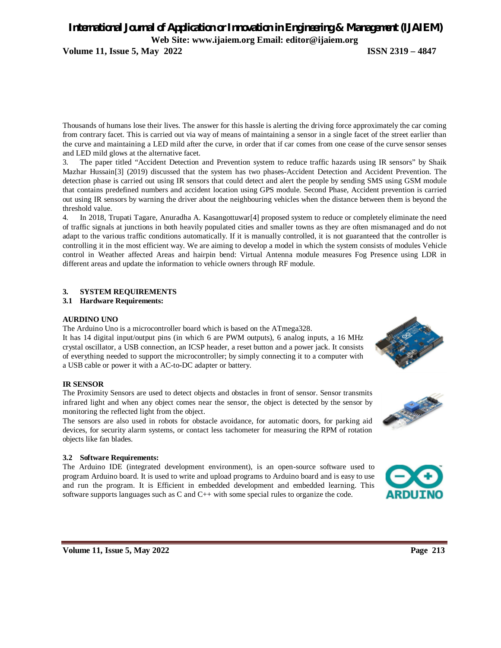# *International Journal of Application or Innovation in Engineering & Management (IJAIEM)* **Web Site: www.ijaiem.org Email: editor@ijaiem.org**

**Volume 11, Issue 5, May 2022 ISSN 2319 – 4847**

Thousands of humans lose their lives. The answer for this hassle is alerting the driving force approximately the car coming from contrary facet. This is carried out via way of means of maintaining a sensor in a single facet of the street earlier than the curve and maintaining a LED mild after the curve, in order that if car comes from one cease of the curve sensor senses and LED mild glows at the alternative facet.

3. The paper titled "Accident Detection and Prevention system to reduce traffic hazards using IR sensors" by Shaik Mazhar Hussain[3] (2019) discussed that the system has two phases-Accident Detection and Accident Prevention. The detection phase is carried out using IR sensors that could detect and alert the people by sending SMS using GSM module that contains predefined numbers and accident location using GPS module. Second Phase, Accident prevention is carried out using IR sensors by warning the driver about the neighbouring vehicles when the distance between them is beyond the threshold value.

4. In 2018, Trupati Tagare, Anuradha A. Kasangottuwar[4] proposed system to reduce or completely eliminate the need of traffic signals at junctions in both heavily populated cities and smaller towns as they are often mismanaged and do not adapt to the various traffic conditions automatically. If it is manually controlled, it is not guaranteed that the controller is controlling it in the most efficient way. We are aiming to develop a model in which the system consists of modules Vehicle control in Weather affected Areas and hairpin bend: Virtual Antenna module measures Fog Presence using LDR in different areas and update the information to vehicle owners through RF module.

## **3. SYSTEM REQUIREMENTS**

## **3.1 Hardware Requirements:**

#### **AURDINO UNO**

The Arduino Uno is a microcontroller board which is based on the ATmega328.

It has 14 digital input/output pins (in which 6 are PWM outputs), 6 analog inputs, a 16 MHz crystal oscillator, a USB connection, an ICSP header, a reset button and a power jack. It consists of everything needed to support the microcontroller; by simply connecting it to a computer with a USB cable or power it with a AC-to-DC adapter or battery.

#### **IR SENSOR**

The Proximity Sensors are used to detect objects and obstacles in front of sensor. Sensor transmits infrared light and when any object comes near the sensor, the object is detected by the sensor by monitoring the reflected light from the object.

The sensors are also used in robots for obstacle avoidance, for automatic doors, for parking aid devices, for security alarm systems, or contact less tachometer for measuring the RPM of rotation objects like fan blades.

## **3.2 Software Requirements:**

The Arduino IDE (integrated development environment), is an open-source software used to program Arduino board. It is used to write and upload programs to Arduino board and is easy to use and run the program. It is Efficient in embedded development and embedded learning. This software supports languages such as C and C++ with some special rules to organize the code.





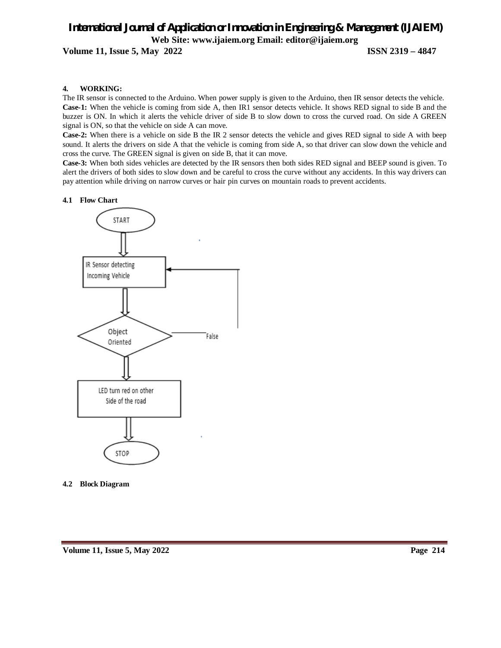# *International Journal of Application or Innovation in Engineering & Management (IJAIEM)* **Web Site: www.ijaiem.org Email: editor@ijaiem.org**

**Volume 11, Issue 5, May 2022 ISSN 2319 – 4847**

#### **4. WORKING:**

The IR sensor is connected to the Arduino. When power supply is given to the Arduino, then IR sensor detects the vehicle. **Case-1:** When the vehicle is coming from side A, then IR1 sensor detects vehicle. It shows RED signal to side B and the buzzer is ON. In which it alerts the vehicle driver of side B to slow down to cross the curved road. On side A GREEN signal is ON, so that the vehicle on side A can move.

**Case-2:** When there is a vehicle on side B the IR 2 sensor detects the vehicle and gives RED signal to side A with beep sound. It alerts the drivers on side A that the vehicle is coming from side A, so that driver can slow down the vehicle and cross the curve. The GREEN signal is given on side B, that it can move.

**Case-3:** When both sides vehicles are detected by the IR sensors then both sides RED signal and BEEP sound is given. To alert the drivers of both sides to slow down and be careful to cross the curve without any accidents. In this way drivers can pay attention while driving on narrow curves or hair pin curves on mountain roads to prevent accidents.

#### **4.1 Flow Chart**



**4.2 Block Diagram**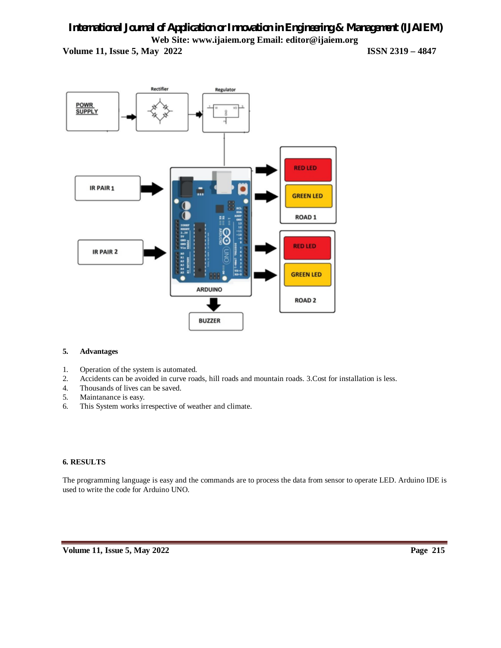# *International Journal of Application or Innovation in Engineering & Management (IJAIEM)* **Web Site: www.ijaiem.org Email: editor@ijaiem.org Volume 11, Issue 5, May 2022 ISSN 2319 – 4847**



## **5. Advantages**

- 1. Operation of the system is automated.
- 2. Accidents can be avoided in curve roads, hill roads and mountain roads. 3.Cost for installation is less.<br>4. Thousands of lives can be saved.
- Thousands of lives can be saved.
- 5. Maintanance is easy.
- 6. This System works irrespective of weather and climate.

## **6. RESULTS**

The programming language is easy and the commands are to process the data from sensor to operate LED. Arduino IDE is used to write the code for Arduino UNO.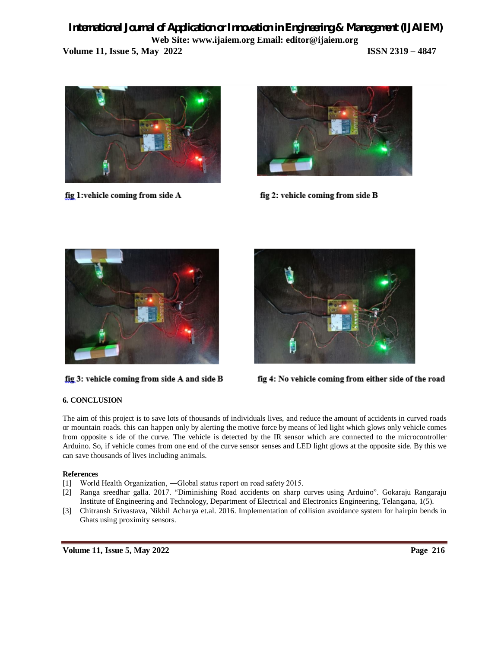# *International Journal of Application or Innovation in Engineering & Management (IJAIEM)* **Web Site: www.ijaiem.org Email: editor@ijaiem.org Volume 11, Issue 5, May 2022 ISSN 2319 – 4847**



fig 1:vehicle coming from side A



fig 2: vehicle coming from side B



fig 3: vehicle coming from side A and side B



fig 4: No vehicle coming from either side of the road

## **6. CONCLUSION**

The aim of this project is to save lots of thousands of individuals lives, and reduce the amount of accidents in curved roads or mountain roads. this can happen only by alerting the motive force by means of led light which glows only vehicle comes from opposite s ide of the curve. The vehicle is detected by the IR sensor which are connected to the microcontroller Arduino. So, if vehicle comes from one end of the curve sensor senses and LED light glows at the opposite side. By this we can save thousands of lives including animals.

## **References**

- [1] World Health Organization, —Global status report on road safety 2015.
- [2] Ranga sreedhar galla. 2017. "Diminishing Road accidents on sharp curves using Arduino". Gokaraju Rangaraju Institute of Engineering and Technology, Department of Electrical and Electronics Engineering, Telangana, 1(5).
- [3] Chitransh Srivastava, Nikhil Acharya et.al. 2016. Implementation of collision avoidance system for hairpin bends in Ghats using proximity sensors.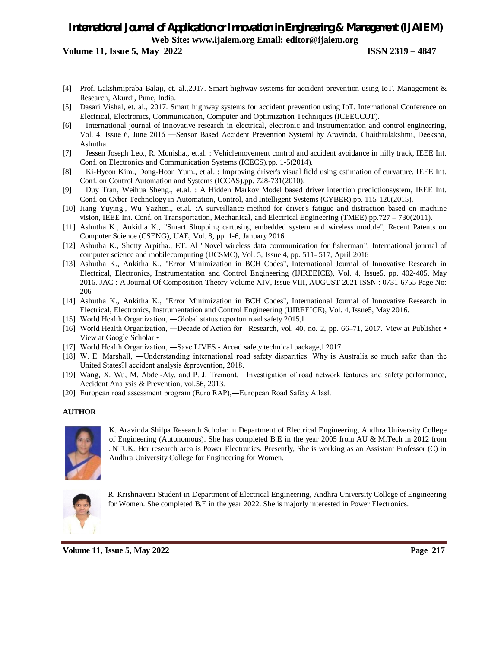# *International Journal of Application or Innovation in Engineering & Management (IJAIEM)* **Web Site: www.ijaiem.org Email: editor@ijaiem.org**

**Volume 11, Issue 5, May 2022 ISSN 2319 – 4847**

- [4] Prof. Lakshmipraba Balaji, et. al.,2017. Smart highway systems for accident prevention using IoT. Management & Research, Akurdi, Pune, India.
- [5] Dasari Vishal, et. al., 2017. Smart highway systems for accident prevention using IoT. International Conference on Electrical, Electronics, Communication, Computer and Optimization Techniques (ICEECCOT).
- [6] International journal of innovative research in electrical, electronic and instrumentation and control engineering, Vol. 4, Issue 6, June 2016 — Sensor Based Accident Prevention Systeml by Aravinda, Chaithralakshmi, Deeksha, Ashutha.
- [7] Jessen Joseph Leo., R. Monisha., et.al. : Vehiclemovement control and accident avoidance in hilly track, IEEE Int. Conf. on Electronics and Communication Systems (ICECS).pp. 1-5(2014).
- [8] Ki-Hyeon Kim., Dong-Hoon Yum., et.al. : Improving driver's visual field using estimation of curvature, IEEE Int. Conf. on Control Automation and Systems (ICCAS).pp. 728-731(2010).
- [9] Duy Tran, Weihua Sheng., et.al. : A Hidden Markov Model based driver intention predictionsystem, IEEE Int. Conf. on Cyber Technology in Automation, Control, and Intelligent Systems (CYBER).pp. 115-120(2015).
- [10] Jiang Yuying., Wu Yazhen., et.al. :A surveillance method for driver's fatigue and distraction based on machine vision, IEEE Int. Conf. on Transportation, Mechanical, and Electrical Engineering (TMEE).pp.727 – 730(2011).
- [11] Ashutha K., Ankitha K., "Smart Shopping cartusing embedded system and wireless module", Recent Patents on Computer Science (CSENG), UAE, Vol. 8, pp. 1-6, January 2016.
- [12] Ashutha K., Shetty Arpitha., ET. Al "Novel wireless data communication for fisherman", International journal of computer science and mobilecomputing (IJCSMC), Vol. 5, Issue 4, pp. 511- 517, April 2016
- [13] Ashutha K., Ankitha K., "Error Minimization in BCH Codes", International Journal of Innovative Research in Electrical, Electronics, Instrumentation and Control Engineering (IJIREEICE), Vol. 4, Issue5, pp. 402-405, May 2016. JAC : A Journal Of Composition Theory Volume XIV, Issue VIII, AUGUST 2021 ISSN : 0731-6755 Page No: 206
- [14] Ashutha K., Ankitha K., "Error Minimization in BCH Codes", International Journal of Innovative Research in Electrical, Electronics, Instrumentation and Control Engineering (IJIREEICE), Vol. 4, Issue5, May 2016.
- [15] World Health Organization, -Global status reporton road safety 2015,
- [16] World Health Organization, —Decade of Action for Research, vol. 40, no. 2, pp. 66–71, 2017. View at Publisher View at Google Scholar •
- [17] World Health Organization, —Save LIVES Aroad safety technical package, [2017.]
- [18] W. E. Marshall, ―Understanding international road safety disparities: Why is Australia so much safer than the United States?ǁ accident analysis &prevention, 2018.
- [19] Wang, X. Wu, M. Abdel-Aty, and P. J. Tremont,―Investigation of road network features and safety performance, Accident Analysis & Prevention, vol.56, 2013.
- [20] European road assessment program (Euro RAP),—European Road Safety Atlasl.

#### **AUTHOR**



K. Aravinda Shilpa Research Scholar in Department of Electrical Engineering, Andhra University College of Engineering (Autonomous). She has completed B.E in the year 2005 from AU & M.Tech in 2012 from JNTUK. Her research area is Power Electronics. Presently, She is working as an Assistant Professor (C) in Andhra University College for Engineering for Women.



R. Krishnaveni Student in Department of Electrical Engineering, Andhra University College of Engineering for Women. She completed B.E in the year 2022. She is majorly interested in Power Electronics.